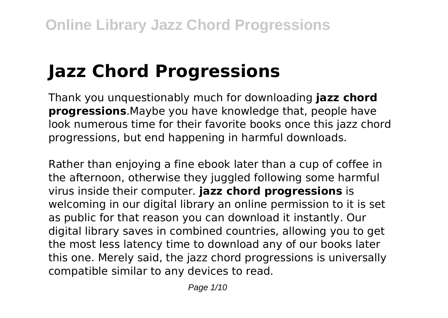# **Jazz Chord Progressions**

Thank you unquestionably much for downloading **jazz chord progressions**.Maybe you have knowledge that, people have look numerous time for their favorite books once this jazz chord progressions, but end happening in harmful downloads.

Rather than enjoying a fine ebook later than a cup of coffee in the afternoon, otherwise they juggled following some harmful virus inside their computer. **jazz chord progressions** is welcoming in our digital library an online permission to it is set as public for that reason you can download it instantly. Our digital library saves in combined countries, allowing you to get the most less latency time to download any of our books later this one. Merely said, the jazz chord progressions is universally compatible similar to any devices to read.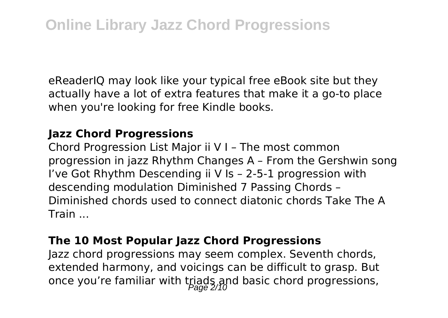eReaderIQ may look like your typical free eBook site but they actually have a lot of extra features that make it a go-to place when you're looking for free Kindle books.

#### **Jazz Chord Progressions**

Chord Progression List Major ii V I – The most common progression in jazz Rhythm Changes A – From the Gershwin song I've Got Rhythm Descending ii V Is – 2-5-1 progression with descending modulation Diminished 7 Passing Chords – Diminished chords used to connect diatonic chords Take The A Train ...

#### **The 10 Most Popular Jazz Chord Progressions**

Jazz chord progressions may seem complex. Seventh chords, extended harmony, and voicings can be difficult to grasp. But once you're familiar with triads and basic chord progressions,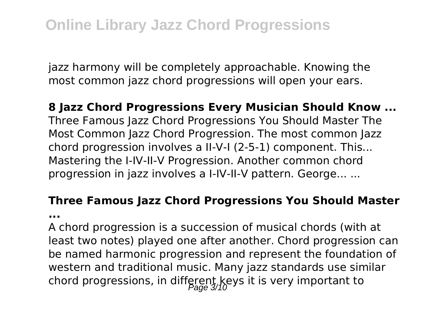jazz harmony will be completely approachable. Knowing the most common jazz chord progressions will open your ears.

#### **8 Jazz Chord Progressions Every Musician Should Know ...**

Three Famous Jazz Chord Progressions You Should Master The Most Common Jazz Chord Progression. The most common Jazz chord progression involves a II-V-I (2-5-1) component. This... Mastering the I-IV-II-V Progression. Another common chord progression in jazz involves a I-IV-II-V pattern. George... ...

## **Three Famous Jazz Chord Progressions You Should Master**

**...**

A chord progression is a succession of musical chords (with at least two notes) played one after another. Chord progression can be named harmonic progression and represent the foundation of western and traditional music. Many jazz standards use similar chord progressions, in different keys it is very important to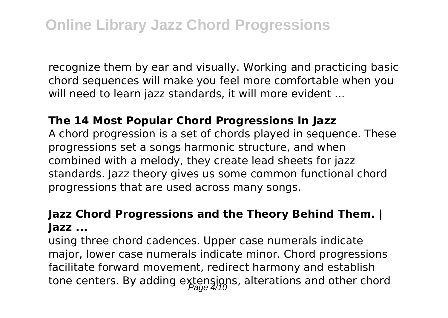recognize them by ear and visually. Working and practicing basic chord sequences will make you feel more comfortable when you will need to learn jazz standards, it will more evident ...

#### **The 14 Most Popular Chord Progressions In Jazz**

A chord progression is a set of chords played in sequence. These progressions set a songs harmonic structure, and when combined with a melody, they create lead sheets for jazz standards. Jazz theory gives us some common functional chord progressions that are used across many songs.

#### **Jazz Chord Progressions and the Theory Behind Them. | Jazz ...**

using three chord cadences. Upper case numerals indicate major, lower case numerals indicate minor. Chord progressions facilitate forward movement, redirect harmony and establish tone centers. By adding extensions, alterations and other chord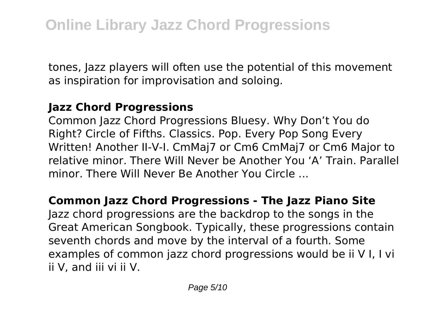tones, Jazz players will often use the potential of this movement as inspiration for improvisation and soloing.

#### **Jazz Chord Progressions**

Common Jazz Chord Progressions Bluesy. Why Don't You do Right? Circle of Fifths. Classics. Pop. Every Pop Song Every Written! Another II-V-I. CmMaj7 or Cm6 CmMaj7 or Cm6 Major to relative minor. There Will Never be Another You 'A' Train. Parallel minor. There Will Never Be Another You Circle ...

#### **Common Jazz Chord Progressions - The Jazz Piano Site**

Jazz chord progressions are the backdrop to the songs in the Great American Songbook. Typically, these progressions contain seventh chords and move by the interval of a fourth. Some examples of common jazz chord progressions would be ii V I, I vi ii V, and iii vi ii V.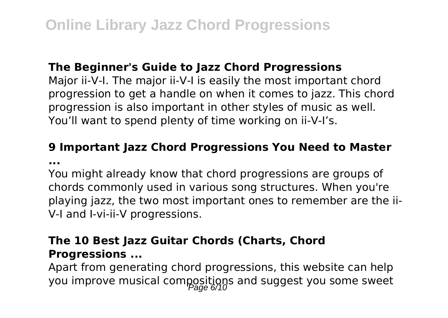#### **The Beginner's Guide to Jazz Chord Progressions**

Major ii-V-I. The major ii-V-I is easily the most important chord progression to get a handle on when it comes to jazz. This chord progression is also important in other styles of music as well. You'll want to spend plenty of time working on ii-V-I's.

#### **9 Important Jazz Chord Progressions You Need to Master ...**

You might already know that chord progressions are groups of chords commonly used in various song structures. When you're playing jazz, the two most important ones to remember are the ii-V-I and I-vi-ii-V progressions.

#### **The 10 Best Jazz Guitar Chords (Charts, Chord Progressions ...**

Apart from generating chord progressions, this website can help you improve musical compositions and suggest you some sweet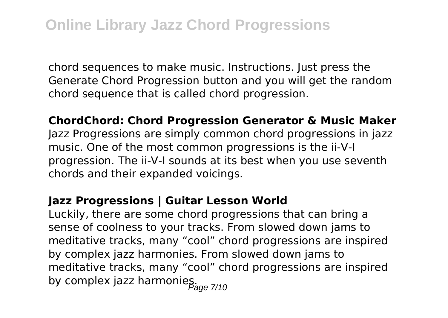chord sequences to make music. Instructions. Just press the Generate Chord Progression button and you will get the random chord sequence that is called chord progression.

**ChordChord: Chord Progression Generator & Music Maker**

Jazz Progressions are simply common chord progressions in jazz music. One of the most common progressions is the ii-V-I progression. The ii-V-I sounds at its best when you use seventh chords and their expanded voicings.

#### **Jazz Progressions | Guitar Lesson World**

Luckily, there are some chord progressions that can bring a sense of coolness to your tracks. From slowed down jams to meditative tracks, many "cool" chord progressions are inspired by complex jazz harmonies. From slowed down jams to meditative tracks, many "cool" chord progressions are inspired by complex jazz harmonies.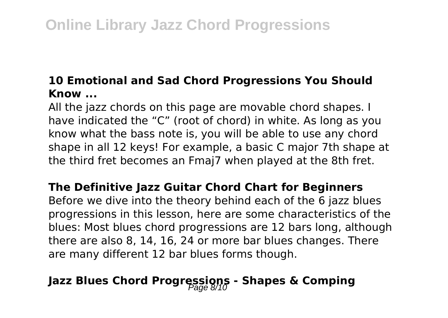#### **10 Emotional and Sad Chord Progressions You Should Know ...**

All the jazz chords on this page are movable chord shapes. I have indicated the "C" (root of chord) in white. As long as you know what the bass note is, you will be able to use any chord shape in all 12 keys! For example, a basic C major 7th shape at the third fret becomes an Fmaj7 when played at the 8th fret.

#### **The Definitive Jazz Guitar Chord Chart for Beginners**

Before we dive into the theory behind each of the 6 jazz blues progressions in this lesson, here are some characteristics of the blues: Most blues chord progressions are 12 bars long, although there are also 8, 14, 16, 24 or more bar blues changes. There are many different 12 bar blues forms though.

# Jazz Blues Chord Progressions - Shapes & Comping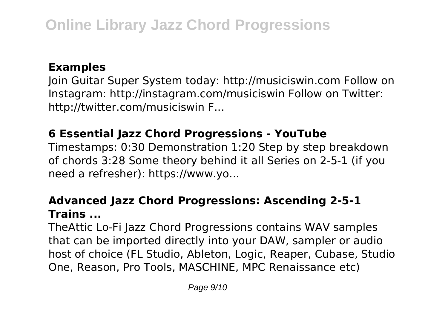#### **Examples**

Join Guitar Super System today: http://musiciswin.com Follow on Instagram: http://instagram.com/musiciswin Follow on Twitter: http://twitter.com/musiciswin F...

### **6 Essential Jazz Chord Progressions - YouTube**

Timestamps: 0:30 Demonstration 1:20 Step by step breakdown of chords 3:28 Some theory behind it all Series on 2-5-1 (if you need a refresher): https://www.yo...

#### **Advanced Jazz Chord Progressions: Ascending 2-5-1 Trains ...**

TheAttic Lo-Fi Jazz Chord Progressions contains WAV samples that can be imported directly into your DAW, sampler or audio host of choice (FL Studio, Ableton, Logic, Reaper, Cubase, Studio One, Reason, Pro Tools, MASCHINE, MPC Renaissance etc)